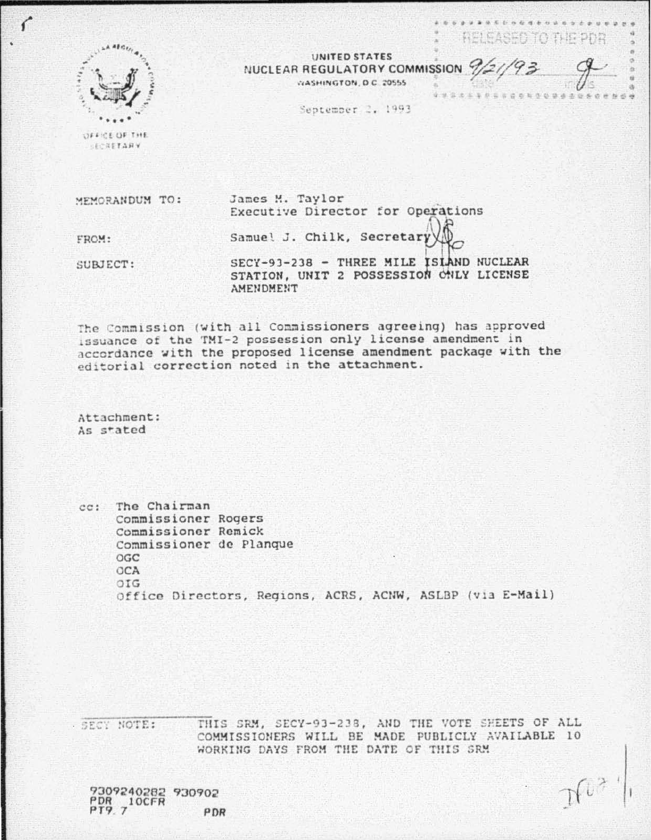

 $\mathcal{C}$ 

**UNITED STATES** NUCLEAR REGULATORY COMMISSION 9/2//93 WASHINGTON D.C. 20555

September 2, 1993

REI EASED TO THE PDR

OFFICE OF THE **SECRETARY** 

James M. Taylor WEMORANDUM TO: Executive Director for Operations Samuel J. Chilk, Secretar FROM: SECY-93-238 - THREE MILE ISIAND NUCLEAR SUBJECT: STATION, UNIT 2 POSSESSION CNLY LICENSE **AMENDMENT** 

The Commission (with all Commissioners agreeing) has approved issuance of the TMI-2 possession only license amendment in accordance with the proposed license amendment package with the editorial correction noted in the attachment.

Attachment: As stated

cc: The Chairman Commissioner Rogers Commissioner Remick Commissioner de Planque OGC OCA OIG Office Directors, Regions, ACRS, ACNW, ASLBP (via E-Mail)

THIS SRM, SECY-93-238, AND THE VOTE SHEETS OF ALL - SECY NOTE: COMMISSIONERS WILL BE MADE PUBLICLY AVAILABLE 10 WORKING DAYS FROM THE DATE OF THIS SRM

9309240282 930902  $PPR$ <sub>2</sub>10CFR PDR